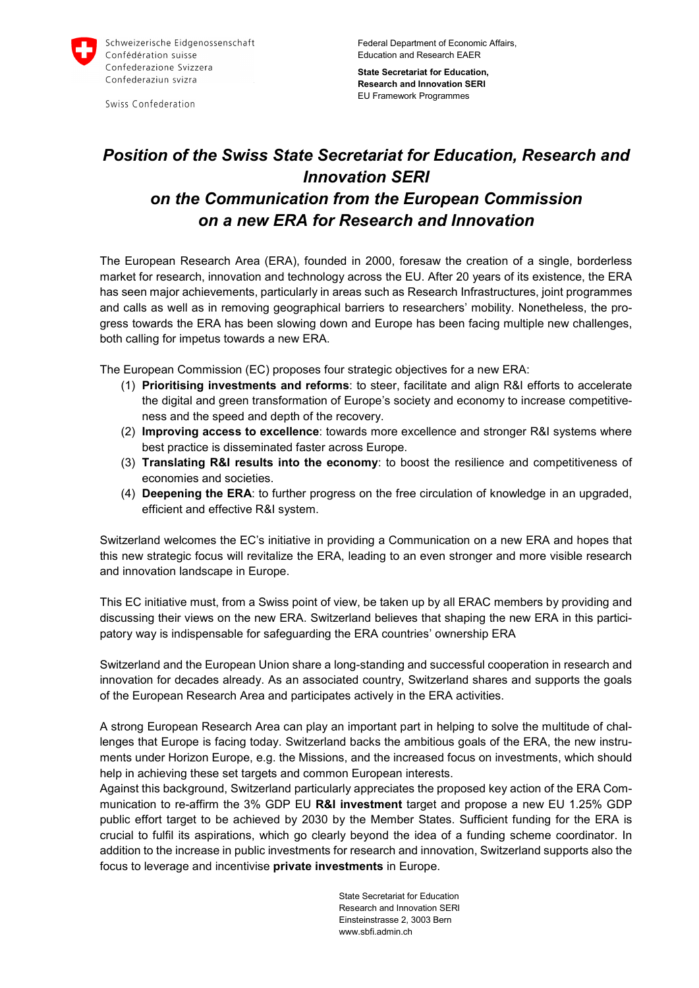

Swiss Confederation

Federal Department of Economic Affairs, Education and Research EAER

**State Secretariat for Education, Research and Innovation SERI** EU Framework Programmes

## *Position of the Swiss State Secretariat for Education, Research and Innovation SERI on the Communication from the European Commission on a new ERA for Research and Innovation*

The European Research Area (ERA), founded in 2000, foresaw the creation of a single, borderless market for research, innovation and technology across the EU. After 20 years of its existence, the ERA has seen major achievements, particularly in areas such as Research Infrastructures, joint programmes and calls as well as in removing geographical barriers to researchers' mobility. Nonetheless, the progress towards the ERA has been slowing down and Europe has been facing multiple new challenges, both calling for impetus towards a new ERA.

The European Commission (EC) proposes four strategic objectives for a new ERA:

- (1) **Prioritising investments and reforms**: to steer, facilitate and align R&I efforts to accelerate the digital and green transformation of Europe's society and economy to increase competitiveness and the speed and depth of the recovery.
- (2) **Improving access to excellence**: towards more excellence and stronger R&I systems where best practice is disseminated faster across Europe.
- (3) **Translating R&I results into the economy**: to boost the resilience and competitiveness of economies and societies.
- (4) **Deepening the ERA**: to further progress on the free circulation of knowledge in an upgraded, efficient and effective R&I system.

Switzerland welcomes the EC's initiative in providing a Communication on a new ERA and hopes that this new strategic focus will revitalize the ERA, leading to an even stronger and more visible research and innovation landscape in Europe.

This EC initiative must, from a Swiss point of view, be taken up by all ERAC members by providing and discussing their views on the new ERA. Switzerland believes that shaping the new ERA in this participatory way is indispensable for safeguarding the ERA countries' ownership ERA

Switzerland and the European Union share a long-standing and successful cooperation in research and innovation for decades already. As an associated country, Switzerland shares and supports the goals of the European Research Area and participates actively in the ERA activities.

A strong European Research Area can play an important part in helping to solve the multitude of challenges that Europe is facing today. Switzerland backs the ambitious goals of the ERA, the new instruments under Horizon Europe, e.g. the Missions, and the increased focus on investments, which should help in achieving these set targets and common European interests.

Against this background, Switzerland particularly appreciates the proposed key action of the ERA Communication to re-affirm the 3% GDP EU **R&I investment** target and propose a new EU 1.25% GDP public effort target to be achieved by 2030 by the Member States. Sufficient funding for the ERA is crucial to fulfil its aspirations, which go clearly beyond the idea of a funding scheme coordinator. In addition to the increase in public investments for research and innovation, Switzerland supports also the focus to leverage and incentivise **private investments** in Europe.

> State Secretariat for Education Research and Innovation SERI Einsteinstrasse 2, 3003 Bern www.sbfi.admin.ch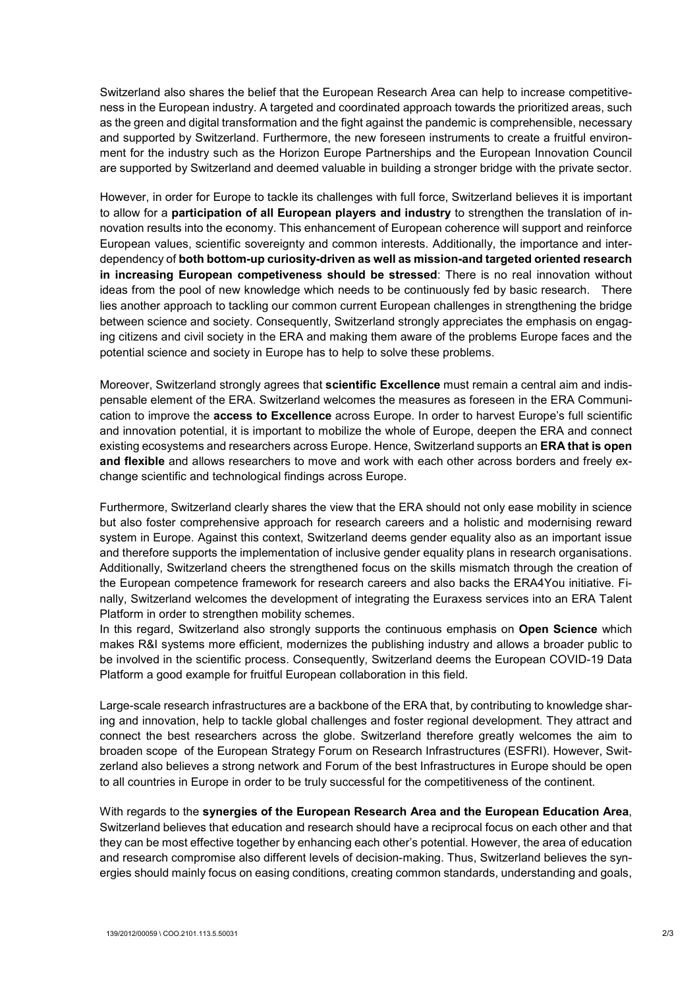Switzerland also shares the belief that the European Research Area can help to increase competitiveness in the European industry. A targeted and coordinated approach towards the prioritized areas, such as the green and digital transformation and the fight against the pandemic is comprehensible, necessary and supported by Switzerland. Furthermore, the new foreseen instruments to create a fruitful environment for the industry such as the Horizon Europe Partnerships and the European Innovation Council are supported by Switzerland and deemed valuable in building a stronger bridge with the private sector.

However, in order for Europe to tackle its challenges with full force, Switzerland believes it is important to allow for a **participation of all European players and industry** to strengthen the translation of innovation results into the economy. This enhancement of European coherence will support and reinforce European values, scientific sovereignty and common interests. Additionally, the importance and interdependency of **both bottom-up curiosity-driven as well as mission-and targeted oriented research in increasing European competiveness should be stressed**: There is no real innovation without ideas from the pool of new knowledge which needs to be continuously fed by basic research. There lies another approach to tackling our common current European challenges in strengthening the bridge between science and society. Consequently, Switzerland strongly appreciates the emphasis on engaging citizens and civil society in the ERA and making them aware of the problems Europe faces and the potential science and society in Europe has to help to solve these problems.

Moreover, Switzerland strongly agrees that **scientific Excellence** must remain a central aim and indispensable element of the ERA. Switzerland welcomes the measures as foreseen in the ERA Communication to improve the **access to Excellence** across Europe. In order to harvest Europe's full scientific and innovation potential, it is important to mobilize the whole of Europe, deepen the ERA and connect existing ecosystems and researchers across Europe. Hence, Switzerland supports an **ERA that is open and flexible** and allows researchers to move and work with each other across borders and freely exchange scientific and technological findings across Europe.

Furthermore, Switzerland clearly shares the view that the ERA should not only ease mobility in science but also foster comprehensive approach for research careers and a holistic and modernising reward system in Europe. Against this context, Switzerland deems gender equality also as an important issue and therefore supports the implementation of inclusive gender equality plans in research organisations. Additionally, Switzerland cheers the strengthened focus on the skills mismatch through the creation of the European competence framework for research careers and also backs the ERA4You initiative. Finally, Switzerland welcomes the development of integrating the Euraxess services into an ERA Talent Platform in order to strengthen mobility schemes.

In this regard, Switzerland also strongly supports the continuous emphasis on **Open Science** which makes R&I systems more efficient, modernizes the publishing industry and allows a broader public to be involved in the scientific process. Consequently, Switzerland deems the European COVID-19 Data Platform a good example for fruitful European collaboration in this field.

Large-scale research infrastructures are a backbone of the ERA that, by contributing to knowledge sharing and innovation, help to tackle global challenges and foster regional development. They attract and connect the best researchers across the globe. Switzerland therefore greatly welcomes the aim to broaden scope of the European Strategy Forum on Research Infrastructures (ESFRI). However, Switzerland also believes a strong network and Forum of the best Infrastructures in Europe should be open to all countries in Europe in order to be truly successful for the competitiveness of the continent.

With regards to the **synergies of the European Research Area and the European Education Area**, Switzerland believes that education and research should have a reciprocal focus on each other and that they can be most effective together by enhancing each other's potential. However, the area of education and research compromise also different levels of decision-making. Thus, Switzerland believes the synergies should mainly focus on easing conditions, creating common standards, understanding and goals,